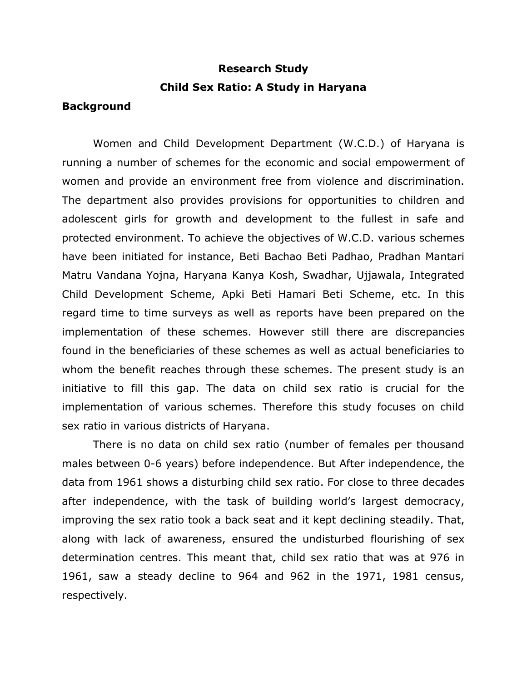# **Research Study Child Sex Ratio: A Study in Haryana**

### **Background**

 Women and Child Development Department (W.C.D.) of Haryana is running a number of schemes for the economic and social empowerment of women and provide an environment free from violence and discrimination. The department also provides provisions for opportunities to children and adolescent girls for growth and development to the fullest in safe and protected environment. To achieve the objectives of W.C.D. various schemes have been initiated for instance, Beti Bachao Beti Padhao, Pradhan Mantari Matru Vandana Yojna, Haryana Kanya Kosh, Swadhar, Ujjawala, Integrated Child Development Scheme, Apki Beti Hamari Beti Scheme, etc. In this regard time to time surveys as well as reports have been prepared on the implementation of these schemes. However still there are discrepancies found in the beneficiaries of these schemes as well as actual beneficiaries to whom the benefit reaches through these schemes. The present study is an initiative to fill this gap. The data on child sex ratio is crucial for the implementation of various schemes. Therefore this study focuses on child sex ratio in various districts of Haryana. sex ratio in various districts of Haryana. There is no data on child sex ratio (number of females per thousand

 males between 0-6 years) before independence. But After independence, the after independence, with the task of building world's largest democracy, improving the sex ratio took a back seat and it kept declining steadily. That, along with lack of awareness, ensured the undisturbed flourishing of sex determination centres. This meant that, child sex ratio that was at 976 in 1961, saw a steady decline to 964 and 962 in the 1971, 1981 census, data from 1961 shows a disturbing child sex ratio. For close to three decades respectively.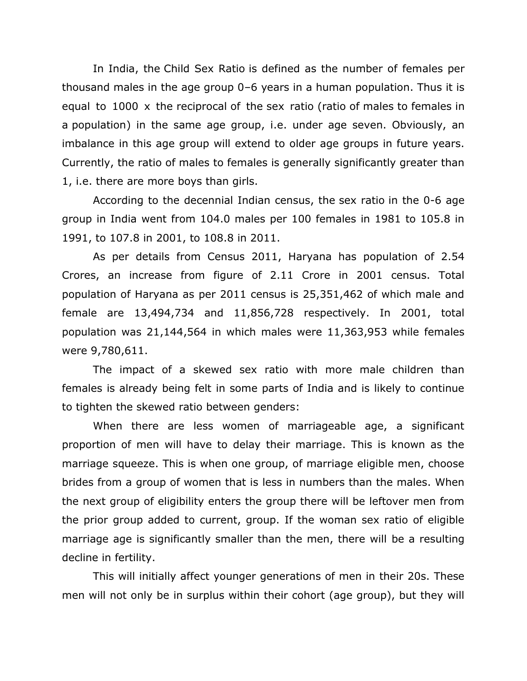In India, the Child Sex Ratio is defined as the number of females per thousand males in the age group 0–6 years in a [human population.](https://en.wikipedia.org/wiki/Human_population) Thus it is equal to 1000 x the [reciprocal](https://en.wikipedia.org/wiki/Multiplicative_inverse) of the [sex ratio](https://en.wikipedia.org/wiki/Sex_ratio) [\(ratio](https://en.wikipedia.org/wiki/Ratio) of [males](https://en.wikipedia.org/wiki/Male) to [females](https://en.wikipedia.org/wiki/Female) in a [population\)](https://en.wikipedia.org/wiki/Population) in the same age group, i.e. under age seven. Obviously, an imbalance in this age group will extend to older age groups in future years. Currently, the ratio of males to females is generally significantly greater than 1, i.e. there are more boys than girls.

 According to the decennial Indian census, the [sex ratio](https://en.wikipedia.org/wiki/Sex_ratio) in the 0-6 age group in India went from 104.0 males per 100 females in 1981 to 105.8 in 1991, to 107.8 in 2001, to 108.8 in 2011. 1991, to 107.8 in 2001, to 108.8 in 2011. As per details from Census 2011, Haryana has population of 2.54

 Crores, an increase from figure of 2.11 Crore in 2001 census. Total population of Haryana as per 2011 census is 25,351,462 of which male and female are 13,494,734 and 11,856,728 respectively. In 2001, total population was 21,144,564 in which males were 11,363,953 while females were 9,780,611.

were 9,780,611.<br>The impact of a skewed sex ratio with more male children than females is already being felt in some parts of India and is likely to continue to tighten the skewed ratio between genders:

 When there are less women of marriageable age, a significant proportion of men will have to delay their marriage. This is known as the marriage squeeze. This is when one group, of marriage eligible men, choose brides from a group of women that is less in numbers than the males. When the next group of eligibility enters the group there will be leftover men from the prior group added to current, group. If the woman sex ratio of eligible marriage age is significantly smaller than the men, there will be a resulting decline in fertility.

 This will initially affect younger generations of men in their 20s. These men will not only be in surplus within their cohort (age group), but they will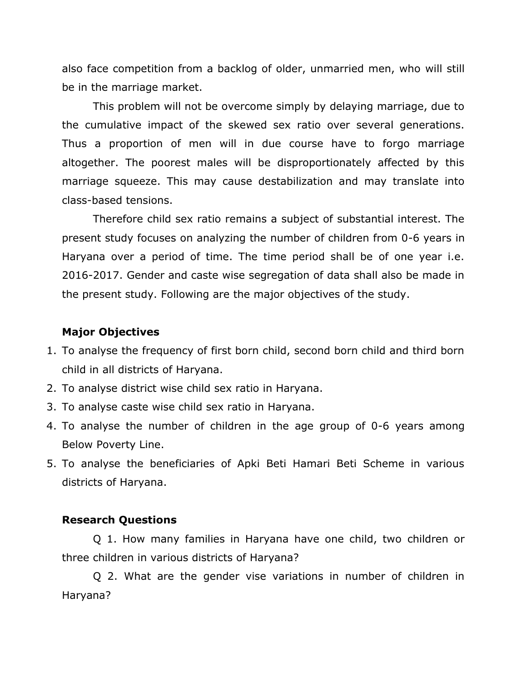also face competition from a backlog of older, unmarried men, who will still be in the marriage market.

 This problem will not be overcome simply by delaying marriage, due to the cumulative impact of the skewed sex ratio over several generations. Thus a proportion of men will in due course have to forgo marriage altogether. The poorest males will be disproportionately affected by this marriage squeeze. This may cause destabilization and may translate into class-based tensions.

 class-based tensions. Therefore child sex ratio remains a subject of substantial interest. The present study focuses on analyzing the number of children from 0-6 years in Haryana over a period of time. The time period shall be of one year i.e. 2016-2017. Gender and caste wise segregation of data shall also be made in the present study. Following are the major objectives of the study.

#### **Major Objectives**

- 1. To analyse the frequency of first born child, second born child and third born child in all districts of Haryana.
- 2. To analyse district wise child sex ratio in Haryana.
- 3. To analyse caste wise child sex ratio in Haryana.
- 4. To analyse the number of children in the age group of 0-6 years among Below Poverty Line.
- 5. To analyse the beneficiaries of Apki Beti Hamari Beti Scheme in various districts of Haryana.

#### **Research Questions**

 Q 1. How many families in Haryana have one child, two children or three children in various districts of Haryana?

 Q 2. What are the gender vise variations in number of children in Haryana?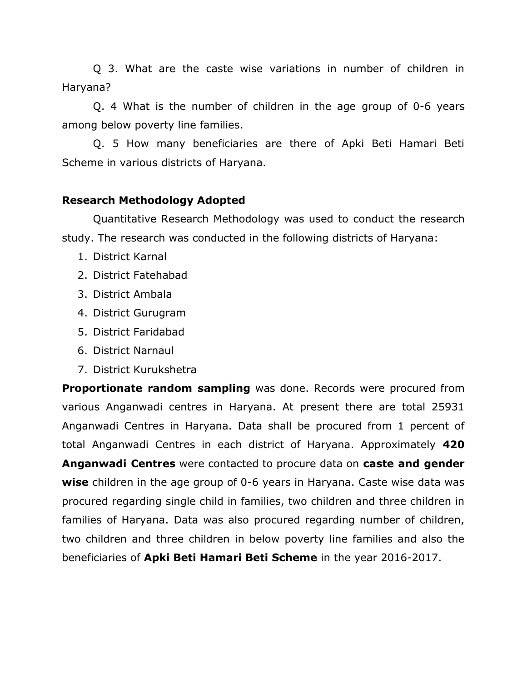Q 3. What are the caste wise variations in number of children in Haryana?

 Q. 4 What is the number of children in the age group of 0-6 years among below poverty line families.

 Q. 5 How many beneficiaries are there of Apki Beti Hamari Beti Scheme in various districts of Haryana.

## **Research Methodology Adopted**

 Quantitative Research Methodology was used to conduct the research study. The research was conducted in the following districts of Haryana:

- 1. District Karnal
- 2. District Fatehabad
- 3. District Ambala
- 4. District Gurugram
- 5. District Faridabad
- 6. District Narnaul
- 7. District Kurukshetra

 **Proportionate random sampling** was done. Records were procured from various Anganwadi centres in Haryana. At present there are total 25931 Anganwadi Centres in Haryana. Data shall be procured from 1 percent of total Anganwadi Centres in each district of Haryana. Approximately **420 Anganwadi Centres** were contacted to procure data on **caste and gender wise** children in the age group of 0-6 years in Haryana. Caste wise data was procured regarding single child in families, two children and three children in families of Haryana. Data was also procured regarding number of children, two children and three children in below poverty line families and also the beneficiaries of **Apki Beti Hamari Beti Scheme** in the year 2016-2017.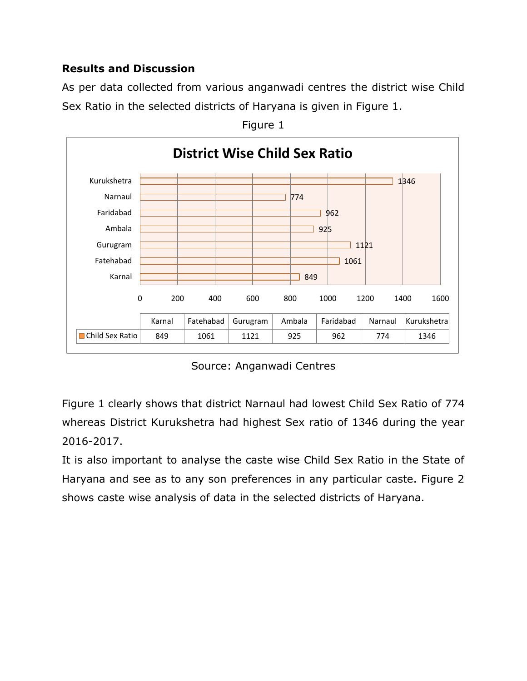# **Results and Discussion**

 As per data collected from various anganwadi centres the district wise Child Sex Ratio in the selected districts of Haryana is given in Figure 1.



Figure 1

Source: Anganwadi Centres

 whereas District Kurukshetra had highest Sex ratio of 1346 during the year 2016-2017. Figure 1 clearly shows that district Narnaul had lowest Child Sex Ratio of 774

2016-2017.<br>It is also important to analyse the caste wise Child Sex Ratio in the State of Haryana and see as to any son preferences in any particular caste. Figure 2 shows caste wise analysis of data in the selected districts of Haryana.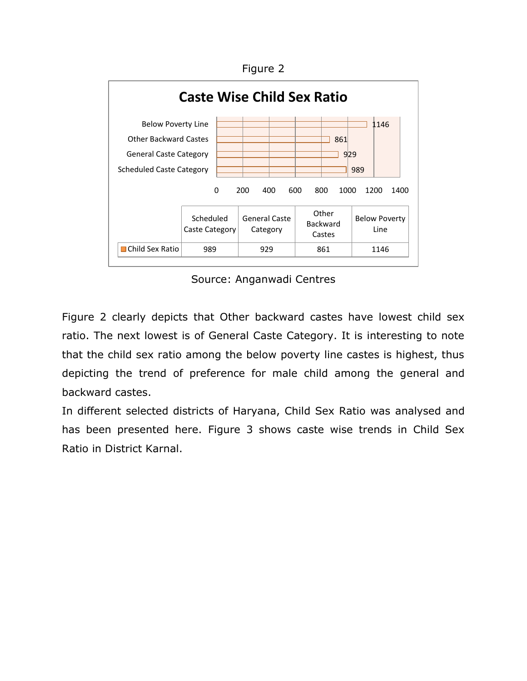Figure 2



Source: Anganwadi Centres

 Figure 2 clearly depicts that Other backward castes have lowest child sex ratio. The next lowest is of General Caste Category. It is interesting to note that the child sex ratio among the below poverty line castes is highest, thus depicting the trend of preference for male child among the general and backward castes.

backward castes.<br>In different selected districts of Haryana, Child Sex Ratio was analysed and has been presented here. Figure 3 shows caste wise trends in Child Sex Ratio in District Karnal.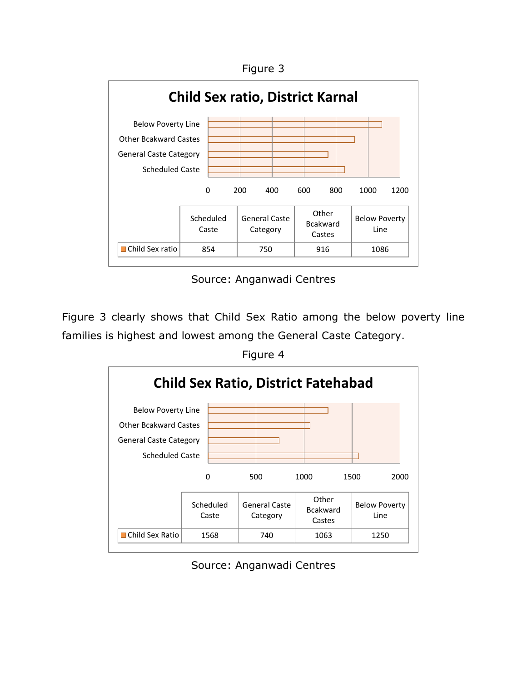Figure 3



Source: Anganwadi Centres

 Figure 3 clearly shows that Child Sex Ratio among the below poverty line families is highest and lowest among the General Caste Category.

Figure 4



Source: Anganwadi Centres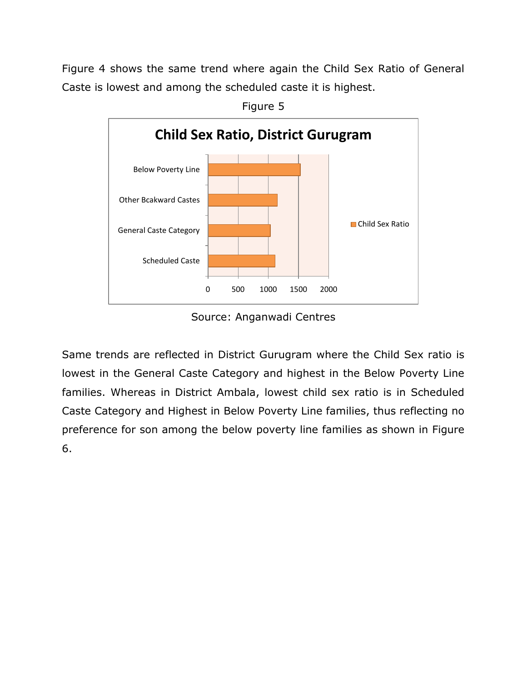Figure 4 shows the same trend where again the Child Sex Ratio of General Caste is lowest and among the scheduled caste it is highest.<br>Figure 5



Source: Anganwadi Centres

 Same trends are reflected in District Gurugram where the Child Sex ratio is lowest in the General Caste Category and highest in the Below Poverty Line families. Whereas in District Ambala, lowest child sex ratio is in Scheduled preference for son among the below poverty line families as shown in Figure Caste Category and Highest in Below Poverty Line families, thus reflecting no 6.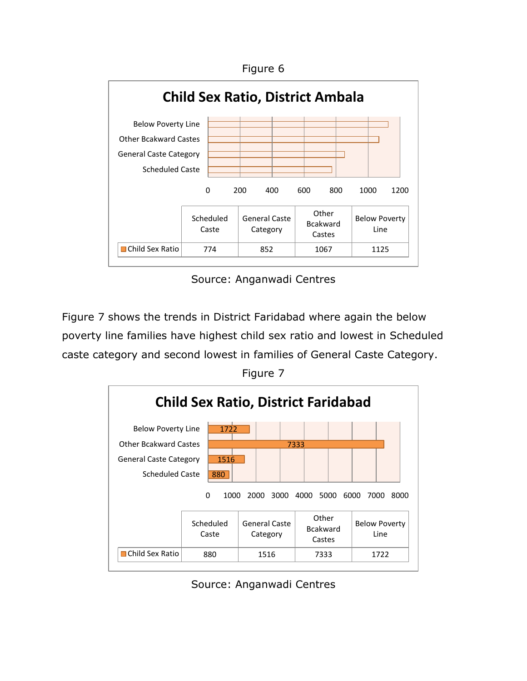



Source: Anganwadi Centres

 caste category and second lowest in families of General Caste Category. Figure 7 Figure 7 shows the trends in District Faridabad where again the below poverty line families have highest child sex ratio and lowest in Scheduled





Source: Anganwadi Centres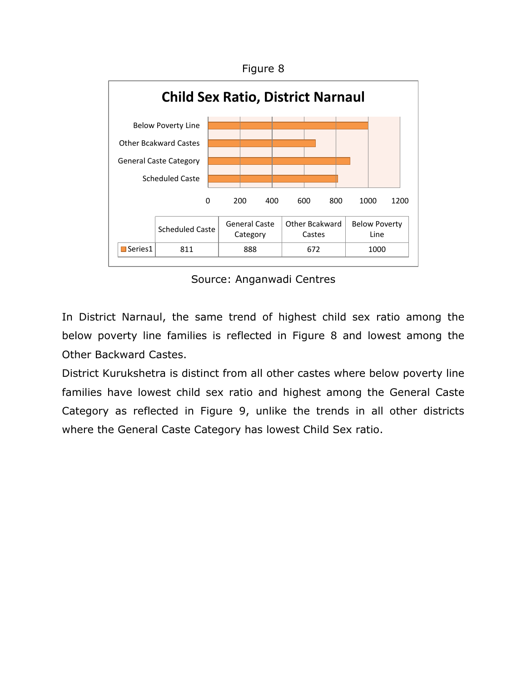

Source: Anganwadi Centres

 In District Narnaul, the same trend of highest child sex ratio among the below poverty line families is reflected in Figure 8 and lowest among the Other Backward Castes.

Other Backward Castes.<br>District Kurukshetra is distinct from all other castes where below poverty line families have lowest child sex ratio and highest among the General Caste Category as reflected in Figure 9, unlike the trends in all other districts where the General Caste Category has lowest Child Sex ratio.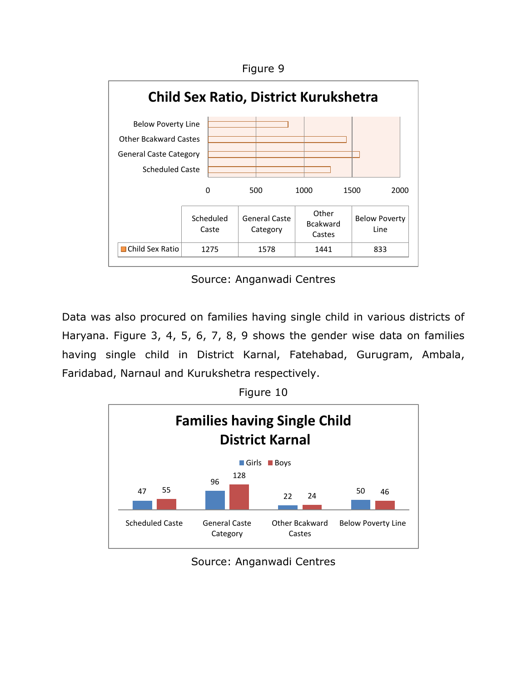



Source: Anganwadi Centres

 Data was also procured on families having single child in various districts of Haryana. Figure 3, 4, 5, 6, 7, 8, 9 shows the gender wise data on families having single child in District Karnal, Fatehabad, Gurugram, Ambala, Faridabad, Narnaul and Kurukshetra respectively. Figure 10





Source: Anganwadi Centres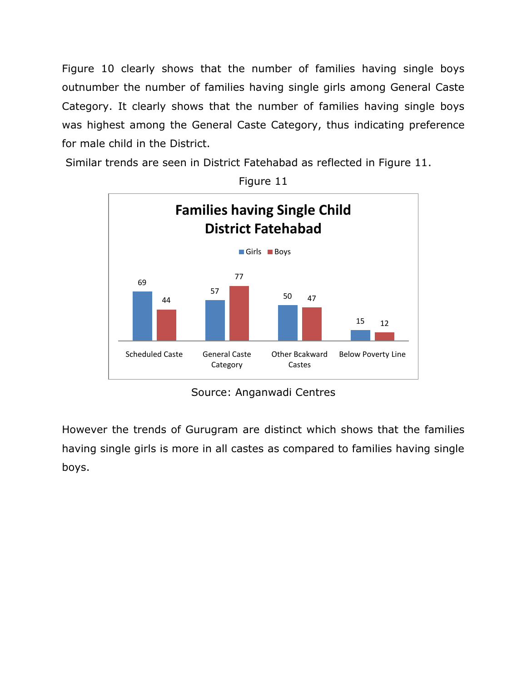Figure 10 clearly shows that the number of families having single boys Category. It clearly shows that the number of families having single boys was highest among the General Caste Category, thus indicating preference for male child in the District. outnumber the number of families having single girls among General Caste

Similar trends are seen in District Fatehabad as reflected in Figure 11.



Figure 11

Source: Anganwadi Centres

 However the trends of Gurugram are distinct which shows that the families having single girls is more in all castes as compared to families having single boys.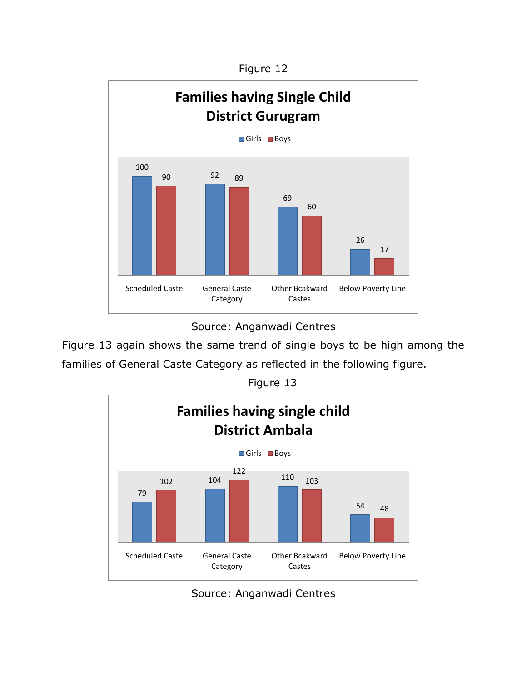Figure 12



 Source: Anganwadi Centres

 Figure 13 again shows the same trend of single boys to be high among the families of General Caste Category as reflected in the following figure. Figure 13



Source: Anganwadi Centres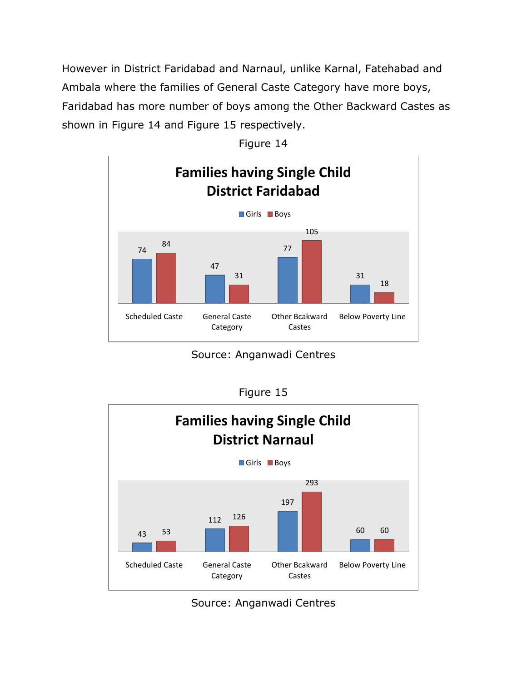However in District Faridabad and Narnaul, unlike Karnal, Fatehabad and Ambala where the families of General Caste Category have more boys, Faridabad has more number of boys among the Other Backward Castes as shown in Figure 14 and Figure 15 respectively.



Figure 14

Source: Anganwadi Centres

| Fidure |  |
|--------|--|
|--------|--|



Source: Anganwadi Centres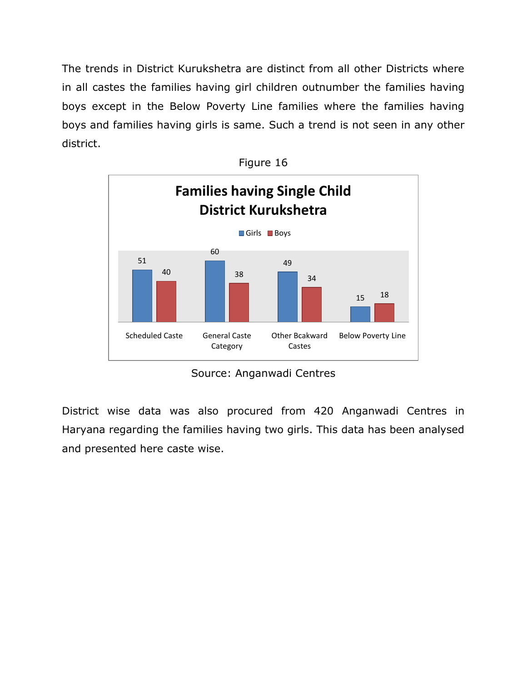The trends in District Kurukshetra are distinct from all other Districts where in all castes the families having girl children outnumber the families having boys except in the Below Poverty Line families where the families having boys and families having girls is same. Such a trend is not seen in any other district. district.<br>Figure 16



Source: Anganwadi Centres

 District wise data was also procured from 420 Anganwadi Centres in Haryana regarding the families having two girls. This data has been analysed and presented here caste wise.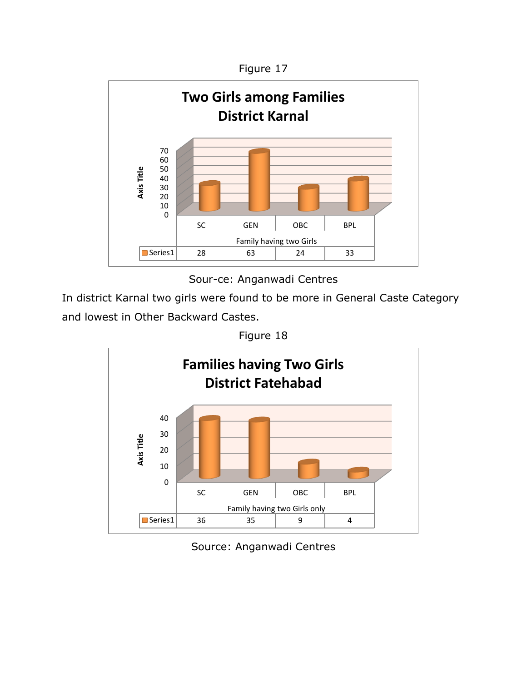



Sour-ce: Anganwadi Centres

In district Karnal two girls were found to be more in General Caste Category and lowest in Other Backward Castes.





Source: Anganwadi Centres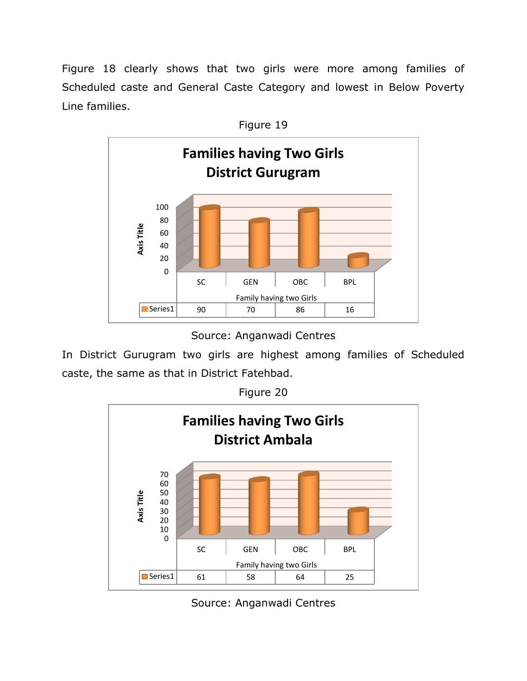Figure 18 clearly shows that two girls were more among families of Scheduled caste and General Caste Category and lowest in Below Poverty Line families.



Source: Anganwadi Centres

In District Gurugram two girls are highest among families of Scheduled caste, the same as that in District Fatehbad.

Figure 20



Source: Anganwadi Centres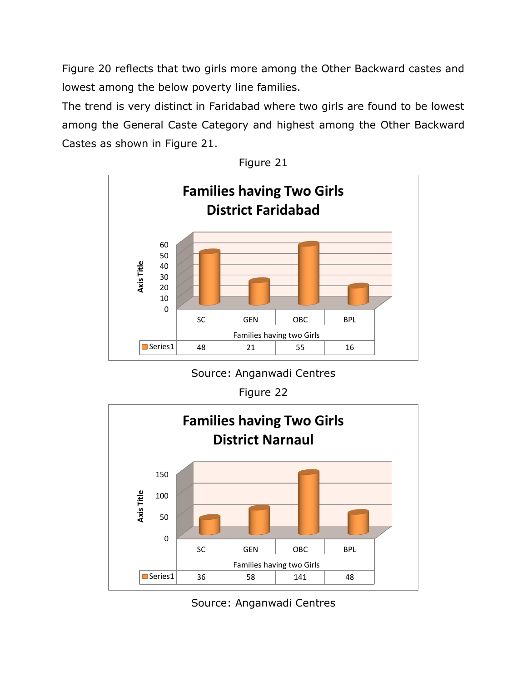Figure 20 reflects that two girls more among the Other Backward castes and lowest among the below poverty line families.

The trend is very distinct in Faridabad where two girls are found to be lowest among the General Caste Category and highest among the Other Backward Castes as shown in Figure 21.





Source: Anganwadi Centres

Figure 22



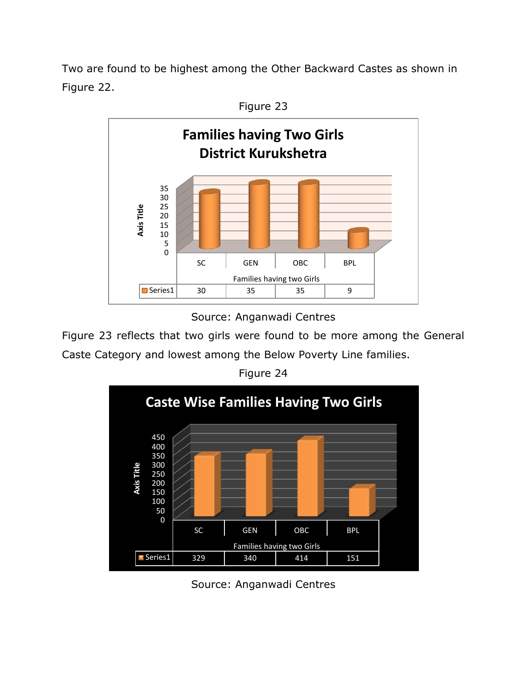Two are found to be highest among the Other Backward Castes as shown in Figure 22.



Figure 23

Source: Anganwadi Centres

 Figure 23 reflects that two girls were found to be more among the General Caste Category and lowest among the Below Poverty Line families.



Figure 24

Source: Anganwadi Centres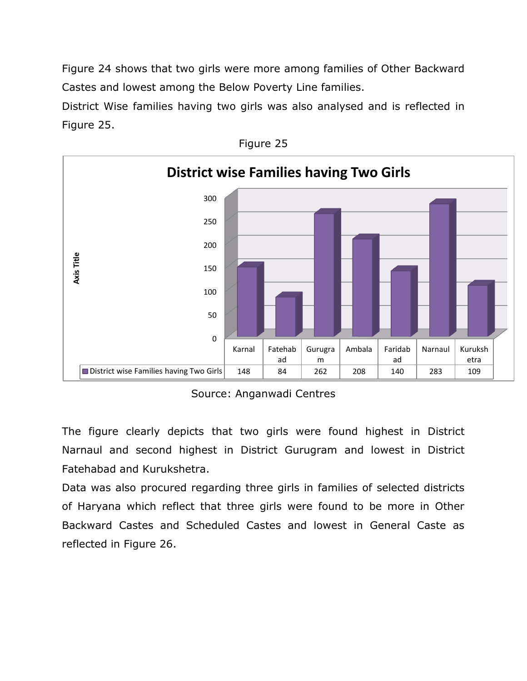Figure 24 shows that two girls were more among families of Other Backward Castes and lowest among the Below Poverty Line families.

Castes and lowest among the Below Poverty Line families.<br>District Wise families having two girls was also analysed and is reflected in Figure 25.





Source: Anganwadi Centres

 The figure clearly depicts that two girls were found highest in District Narnaul and second highest in District Gurugram and lowest in District Fatehabad and Kurukshetra.

 Data was also procured regarding three girls in families of selected districts of Haryana which reflect that three girls were found to be more in Other Backward Castes and Scheduled Castes and lowest in General Caste as reflected in Figure 26.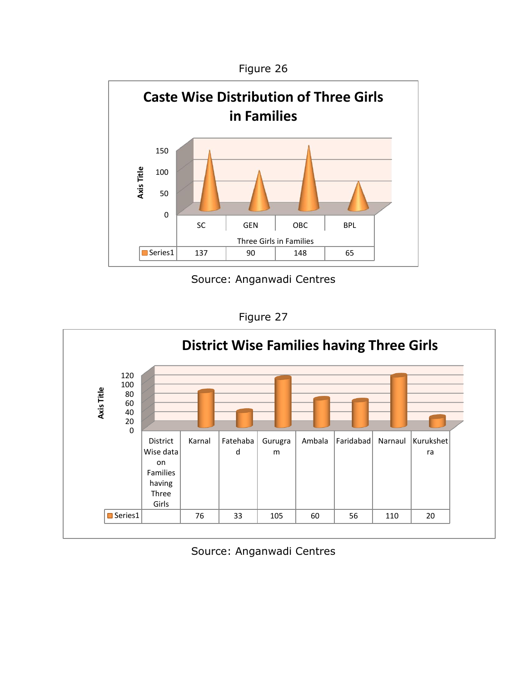

Source: Anganwadi Centres

Figure 27



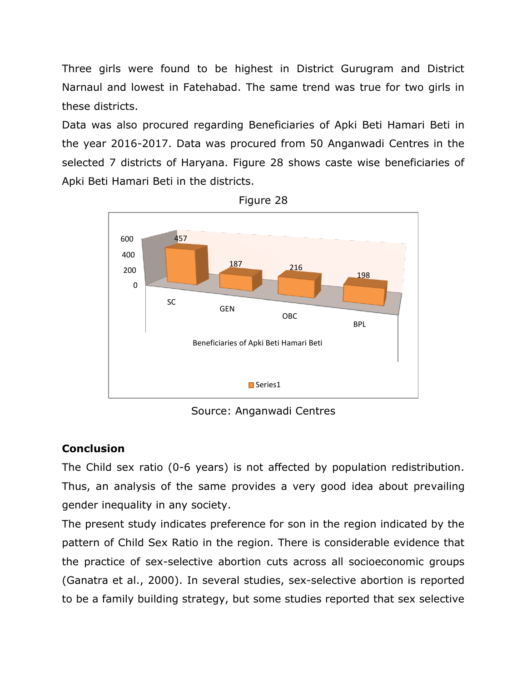Three girls were found to be highest in District Gurugram and District Narnaul and lowest in Fatehabad. The same trend was true for two girls in these districts.

these districts.<br>Data was also procured regarding Beneficiaries of Apki Beti Hamari Beti in the year 2016-2017. Data was procured from 50 Anganwadi Centres in the selected 7 districts of Haryana. Figure 28 shows caste wise beneficiaries of Apki Beti Hamari Beti in the districts.<br>Figure 28



Source: Anganwadi Centres

## **Conclusion**

 The Child sex ratio (0-6 years) is not affected by population redistribution. Thus, an analysis of the same provides a very good idea about prevailing gender inequality in any society.

 The present study indicates preference for son in the region indicated by the pattern of Child Sex Ratio in the region. There is considerable evidence that the practice of sex-selective abortion cuts across all socioeconomic groups (Ganatra et al., 2000). In several studies, sex-selective abortion is reported to be a family building strategy, but some studies reported that sex selective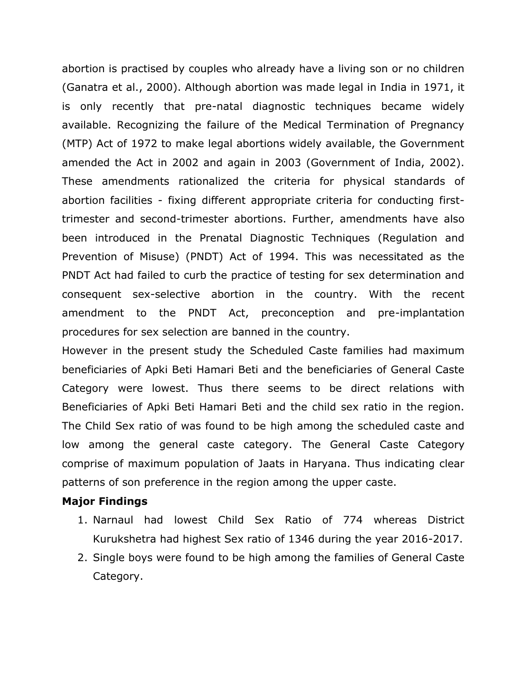abortion is practised by couples who already have a living son or no children (Ganatra et al., 2000). Although abortion was made legal in India in 1971, it is only recently that pre-natal diagnostic techniques became widely available. Recognizing the failure of the Medical Termination of Pregnancy (MTP) Act of 1972 to make legal abortions widely available, the Government amended the Act in 2002 and again in 2003 (Government of India, 2002). These amendments rationalized the criteria for physical standards of abortion facilities - fixing different appropriate criteria for conducting first- been introduced in the Prenatal Diagnostic Techniques (Regulation and Prevention of Misuse) (PNDT) Act of 1994. This was necessitated as the PNDT Act had failed to curb the practice of testing for sex determination and consequent sex-selective abortion in the country. With the recent amendment to the PNDT Act, preconception and pre-implantation trimester and second-trimester abortions. Further, amendments have also procedures for sex selection are banned in the country.

 However in the present study the Scheduled Caste families had maximum beneficiaries of Apki Beti Hamari Beti and the beneficiaries of General Caste Category were lowest. Thus there seems to be direct relations with Beneficiaries of Apki Beti Hamari Beti and the child sex ratio in the region. The Child Sex ratio of was found to be high among the scheduled caste and low among the general caste category. The General Caste Category comprise of maximum population of Jaats in Haryana. Thus indicating clear patterns of son preference in the region among the upper caste.

#### **Major Findings**

- 1. Narnaul had lowest Child Sex Ratio of 774 whereas District Kurukshetra had highest Sex ratio of 1346 during the year 2016-2017.
- 2. Single boys were found to be high among the families of General Caste Category.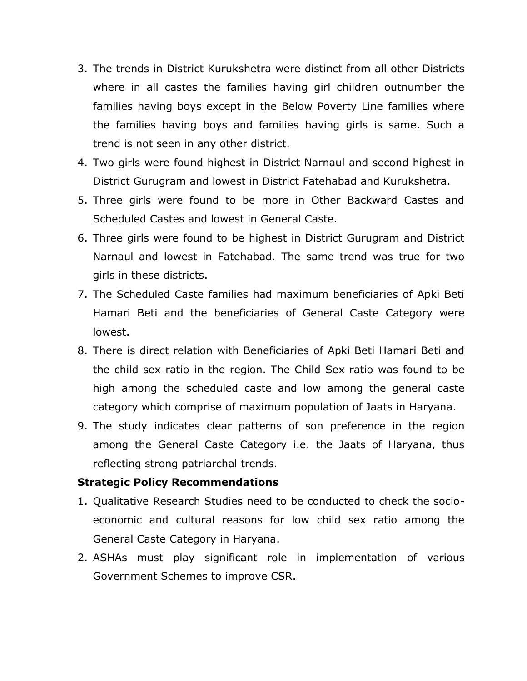- 3. The trends in District Kurukshetra were distinct from all other Districts where in all castes the families having girl children outnumber the families having boys except in the Below Poverty Line families where the families having boys and families having girls is same. Such a trend is not seen in any other district.
- 4. Two girls were found highest in District Narnaul and second highest in District Gurugram and lowest in District Fatehabad and Kurukshetra.
- 5. Three girls were found to be more in Other Backward Castes and Scheduled Castes and lowest in General Caste.
- 6. Three girls were found to be highest in District Gurugram and District Narnaul and lowest in Fatehabad. The same trend was true for two girls in these districts.
- girls in these districts. 7. The Scheduled Caste families had maximum beneficiaries of Apki Beti Hamari Beti and the beneficiaries of General Caste Category were lowest.
- 8. There is direct relation with Beneficiaries of Apki Beti Hamari Beti and the child sex ratio in the region. The Child Sex ratio was found to be high among the scheduled caste and low among the general caste category which comprise of maximum population of Jaats in Haryana.
- 9. The study indicates clear patterns of son preference in the region among the General Caste Category i.e. the Jaats of Haryana, thus reflecting strong patriarchal trends.

### **Strategic Policy Recommendations**

- 1. Qualitative Research Studies need to be conducted to check the socio- economic and cultural reasons for low child sex ratio among the General Caste Category in Haryana.
- 2. ASHAs must play significant role in implementation of various Government Schemes to improve CSR.